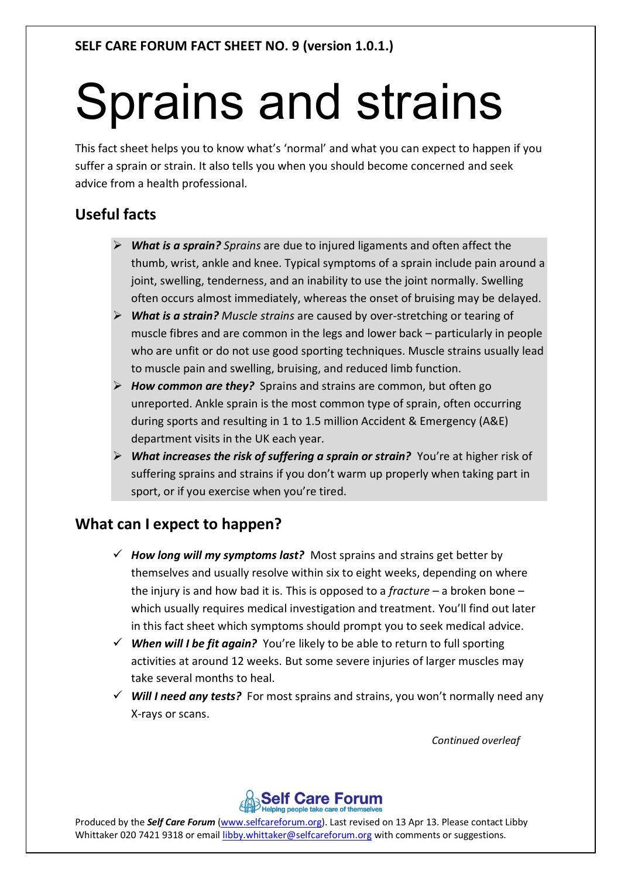# Sprains and strains

This fact sheet helps you to know what's 'normal' and what you can expect to happen if you suffer a sprain or strain. It also tells you when you should become concerned and seek advice from a health professional.

## **Useful facts**

- *What is a sprain? Sprains* are due to injured ligaments and often affect the thumb, wrist, ankle and knee. Typical symptoms of a sprain include pain around a joint, swelling, tenderness, and an inability to use the joint normally. Swelling often occurs almost immediately, whereas the onset of bruising may be delayed.
- *What is a strain? Muscle strains* are caused by over-stretching or tearing of muscle fibres and are common in the legs and lower back – particularly in people who are unfit or do not use good sporting techniques. Muscle strains usually lead to muscle pain and swelling, bruising, and reduced limb function.
- *How common are they?* Sprains and strains are common, but often go unreported. Ankle sprain is the most common type of sprain, often occurring during sports and resulting in 1 to 1.5 million Accident & Emergency (A&E) department visits in the UK each year.
- *What increases the risk of suffering a sprain or strain?* You're at higher risk of suffering sprains and strains if you don't warm up properly when taking part in sport, or if you exercise when you're tired.

## **What can I expect to happen?**

- $\checkmark$  How long will my symptoms last? Most sprains and strains get better by themselves and usually resolve within six to eight weeks, depending on where the injury is and how bad it is. This is opposed to a *fracture –* a broken bone – which usually requires medical investigation and treatment. You'll find out later in this fact sheet which symptoms should prompt you to seek medical advice.
- *When will I be fit again?* You're likely to be able to return to full sporting activities at around 12 weeks. But some severe injuries of larger muscles may take several months to heal.
- *Will I need any tests?* For most sprains and strains, you won't normally need any X-rays or scans.

*Continued overleaf*



Produced by the *Self Care Forum* (www.selfcareforum.org). Last revised on 13 Apr 13. Please contact Libby Whittaker 020 7421 9318 or email libby.whittaker@selfcareforum.org with comments or suggestions.